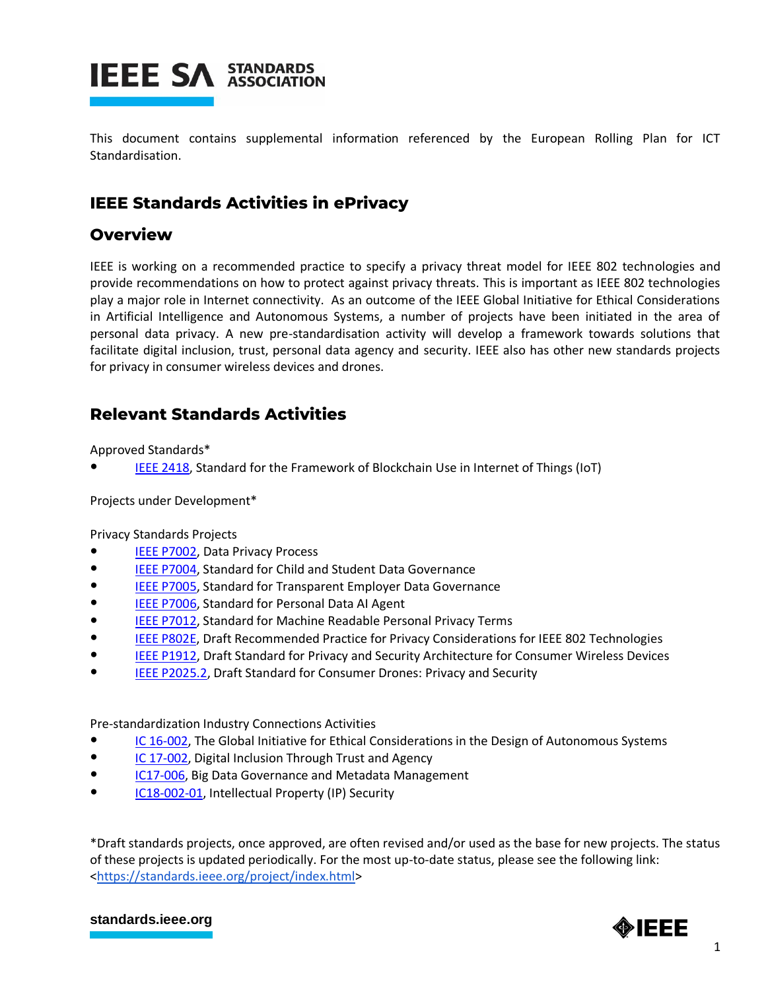

This document contains supplemental information referenced by the European Rolling Plan for ICT Standardisation.

## **IEEE Standards Activities in ePrivacy**

## **Overview**

IEEE is working on a recommended practice to specify a privacy threat model for IEEE 802 technologies and provide recommendations on how to protect against privacy threats. This is important as IEEE 802 technologies play a major role in Internet connectivity. As an outcome of the IEEE Global Initiative for Ethical Considerations in Artificial Intelligence and Autonomous Systems, a number of projects have been initiated in the area of personal data privacy. A new pre-standardisation activity will develop a framework towards solutions that facilitate digital inclusion, trust, personal data agency and security. IEEE also has other new standards projects for privacy in consumer wireless devices and drones.

## **Relevant Standards Activities**

Approved Standards\*

[IEEE 2418,](http://standards.ieee.org/develop/project/2418.html) Standard for the Framework of Blockchain Use in Internet of Things (IoT)

Projects under Development\*

Privacy Standards Projects

- [IEEE P7002,](http://standards.ieee.org/develop/project/7002.html) Data Privacy Process
- [IEEE P7004,](http://standards.ieee.org/develop/project/7004.html) Standard for Child and Student Data Governance
- [IEEE P7005,](http://standards.ieee.org/develop/project/7005.html) Standard for Transparent Employer Data Governance
- [IEEE P7006,](http://standards.ieee.org/develop/project/7006.html) Standard for Personal Data AI Agent
- [IEEE P7012,](http://standards.ieee.org/develop/project/7012.html) Standard for Machine Readable Personal Privacy Terms
- **[IEEE P802E,](http://standards.ieee.org/develop/project/802E.html) Draft Recommended Practice for Privacy Considerations for IEEE 802 Technologies**
- [IEEE P1912,](http://standards.ieee.org/develop/project/1912.html) Draft Standard for Privacy and Security Architecture for Consumer Wireless Devices
- **[IEEE P2025.2,](http://standards.ieee.org/develop/project/2025.2.html) Draft Standard for Consumer Drones: Privacy and Security**

Pre-standardization Industry Connections Activities

- [IC 16-002,](http://standards.ieee.org/about/sasb/iccom/IC16-002-01_Global_Initiative_for_Ethical_Considerations_in_the_Design_of_Autonomous_Systems.pdf) The Global Initiative for Ethical Considerations in the Design of Autonomous Systems
- [IC 17-002,](http://standards.ieee.org/about/sasb/iccom/IC17-002-01_Di.pdf) Digital Inclusion Through Trust and Agency
- [IC17-006,](https://standards.ieee.org/about/sasb/iccom/IC17-006-01_Data_Governance_and_Metadata_Management.pdf) Big Data Governance and Metadata Management
- [IC18-002-01,](http://standards.ieee.org/about/sasb/iccom/IC18-002-01_IP_Security_ICAID_80318.pdf) Intellectual Property (IP) Security

\*Draft standards projects, once approved, are often revised and/or used as the base for new projects. The status of these projects is updated periodically. For the most up-to-date status, please see the following link: [<https://standards.ieee.org/project/index.html>](https://standards.ieee.org/project/index.html)

## **[standards.ieee.org](http://standards.ieee.org/)**